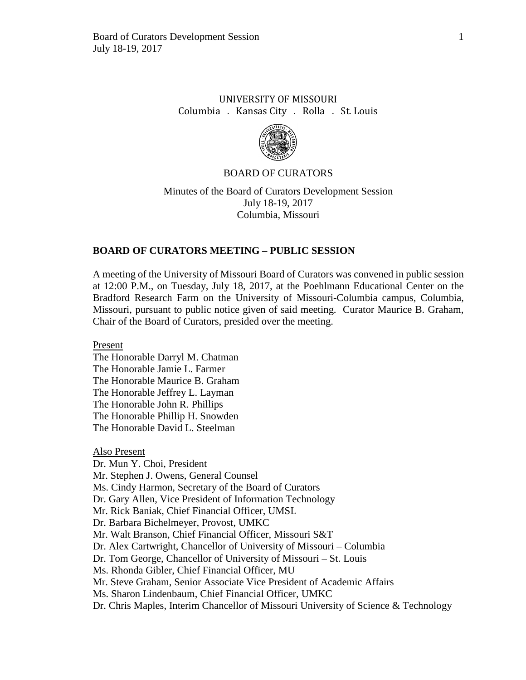# UNIVERSITY OF MISSOURI Columbia . Kansas City . Rolla . St. Louis



## BOARD OF CURATORS

Minutes of the Board of Curators Development Session July 18-19, 2017 Columbia, Missouri

## **BOARD OF CURATORS MEETING – PUBLIC SESSION**

A meeting of the University of Missouri Board of Curators was convened in public session at 12:00 P.M., on Tuesday, July 18, 2017, at the Poehlmann Educational Center on the Bradford Research Farm on the University of Missouri-Columbia campus, Columbia, Missouri, pursuant to public notice given of said meeting. Curator Maurice B. Graham, Chair of the Board of Curators, presided over the meeting.

Present

The Honorable Darryl M. Chatman The Honorable Jamie L. Farmer The Honorable Maurice B. Graham The Honorable Jeffrey L. Layman The Honorable John R. Phillips The Honorable Phillip H. Snowden The Honorable David L. Steelman

Also Present Dr. Mun Y. Choi, President Mr. Stephen J. Owens, General Counsel Ms. Cindy Harmon, Secretary of the Board of Curators Dr. Gary Allen, Vice President of Information Technology Mr. Rick Baniak, Chief Financial Officer, UMSL Dr. Barbara Bichelmeyer, Provost, UMKC Mr. Walt Branson, Chief Financial Officer, Missouri S&T Dr. Alex Cartwright, Chancellor of University of Missouri – Columbia Dr. Tom George, Chancellor of University of Missouri – St. Louis Ms. Rhonda Gibler, Chief Financial Officer, MU Mr. Steve Graham, Senior Associate Vice President of Academic Affairs Ms. Sharon Lindenbaum, Chief Financial Officer, UMKC Dr. Chris Maples, Interim Chancellor of Missouri University of Science & Technology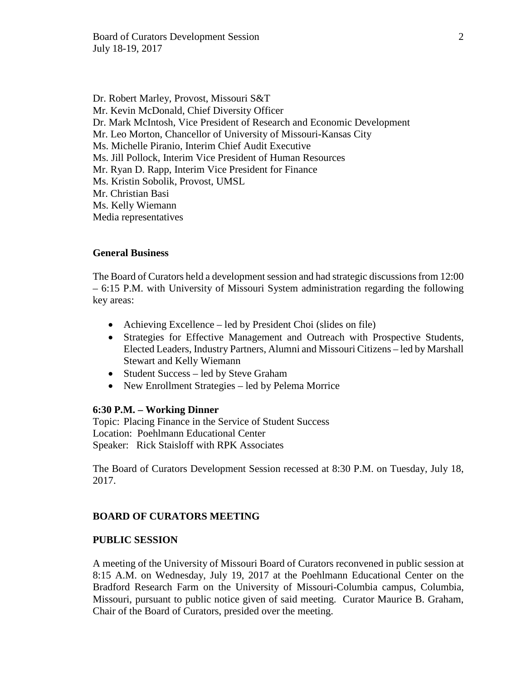Dr. Robert Marley, Provost, Missouri S&T Mr. Kevin McDonald, Chief Diversity Officer Dr. Mark McIntosh, Vice President of Research and Economic Development Mr. Leo Morton, Chancellor of University of Missouri-Kansas City Ms. Michelle Piranio, Interim Chief Audit Executive Ms. Jill Pollock, Interim Vice President of Human Resources Mr. Ryan D. Rapp, Interim Vice President for Finance Ms. Kristin Sobolik, Provost, UMSL Mr. Christian Basi Ms. Kelly Wiemann Media representatives

## **General Business**

The Board of Curators held a development session and had strategic discussions from 12:00 – 6:15 P.M. with University of Missouri System administration regarding the following key areas:

- Achieving Excellence led by President Choi (slides on file)
- Strategies for Effective Management and Outreach with Prospective Students, Elected Leaders, Industry Partners, Alumni and Missouri Citizens – led by Marshall Stewart and Kelly Wiemann
- Student Success led by Steve Graham
- New Enrollment Strategies led by Pelema Morrice

## **6:30 P.M. – Working Dinner**

Topic: Placing Finance in the Service of Student Success Location: Poehlmann Educational Center Speaker: Rick Staisloff with RPK Associates

The Board of Curators Development Session recessed at 8:30 P.M. on Tuesday, July 18, 2017.

## **BOARD OF CURATORS MEETING**

## **PUBLIC SESSION**

A meeting of the University of Missouri Board of Curators reconvened in public session at 8:15 A.M. on Wednesday, July 19, 2017 at the Poehlmann Educational Center on the Bradford Research Farm on the University of Missouri-Columbia campus, Columbia, Missouri, pursuant to public notice given of said meeting. Curator Maurice B. Graham, Chair of the Board of Curators, presided over the meeting.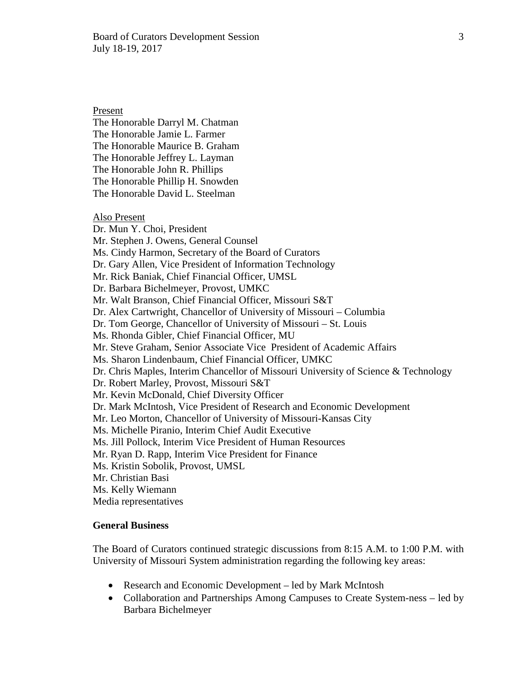Present The Honorable Darryl M. Chatman The Honorable Jamie L. Farmer The Honorable Maurice B. Graham The Honorable Jeffrey L. Layman The Honorable John R. Phillips The Honorable Phillip H. Snowden The Honorable David L. Steelman Also Present Dr. Mun Y. Choi, President Mr. Stephen J. Owens, General Counsel Ms. Cindy Harmon, Secretary of the Board of Curators Dr. Gary Allen, Vice President of Information Technology Mr. Rick Baniak, Chief Financial Officer, UMSL Dr. Barbara Bichelmeyer, Provost, UMKC Mr. Walt Branson, Chief Financial Officer, Missouri S&T Dr. Alex Cartwright, Chancellor of University of Missouri – Columbia Dr. Tom George, Chancellor of University of Missouri – St. Louis Ms. Rhonda Gibler, Chief Financial Officer, MU Mr. Steve Graham, Senior Associate Vice President of Academic Affairs Ms. Sharon Lindenbaum, Chief Financial Officer, UMKC Dr. Chris Maples, Interim Chancellor of Missouri University of Science & Technology Dr. Robert Marley, Provost, Missouri S&T Mr. Kevin McDonald, Chief Diversity Officer Dr. Mark McIntosh, Vice President of Research and Economic Development Mr. Leo Morton, Chancellor of University of Missouri-Kansas City Ms. Michelle Piranio, Interim Chief Audit Executive Ms. Jill Pollock, Interim Vice President of Human Resources Mr. Ryan D. Rapp, Interim Vice President for Finance Ms. Kristin Sobolik, Provost, UMSL Mr. Christian Basi Ms. Kelly Wiemann Media representatives

## **General Business**

The Board of Curators continued strategic discussions from 8:15 A.M. to 1:00 P.M. with University of Missouri System administration regarding the following key areas:

- Research and Economic Development led by Mark McIntosh
- Collaboration and Partnerships Among Campuses to Create System-ness led by Barbara Bichelmeyer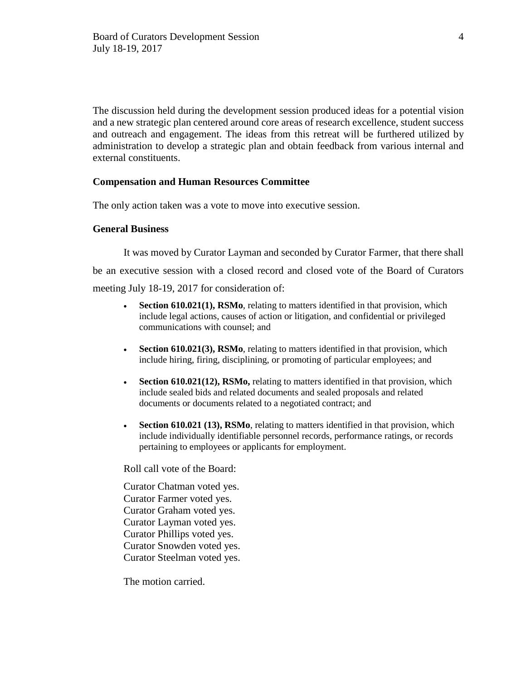The discussion held during the development session produced ideas for a potential vision and a new strategic plan centered around core areas of research excellence, student success and outreach and engagement. The ideas from this retreat will be furthered utilized by administration to develop a strategic plan and obtain feedback from various internal and external constituents.

#### **Compensation and Human Resources Committee**

The only action taken was a vote to move into executive session.

#### **General Business**

It was moved by Curator Layman and seconded by Curator Farmer, that there shall be an executive session with a closed record and closed vote of the Board of Curators meeting July 18-19, 2017 for consideration of:

- **Section 610.021(1), RSMo**, relating to matters identified in that provision, which include legal actions, causes of action or litigation, and confidential or privileged communications with counsel; and
- **Section 610.021(3), RSMo**, relating to matters identified in that provision, which include hiring, firing, disciplining, or promoting of particular employees; and
- **Section 610.021(12), RSMo,** relating to matters identified in that provision, which include sealed bids and related documents and sealed proposals and related documents or documents related to a negotiated contract; and
- **Section 610.021 (13), RSMo**, relating to matters identified in that provision, which include individually identifiable personnel records, performance ratings, or records pertaining to employees or applicants for employment.

Roll call vote of the Board:

Curator Chatman voted yes. Curator Farmer voted yes. Curator Graham voted yes. Curator Layman voted yes. Curator Phillips voted yes. Curator Snowden voted yes. Curator Steelman voted yes.

The motion carried.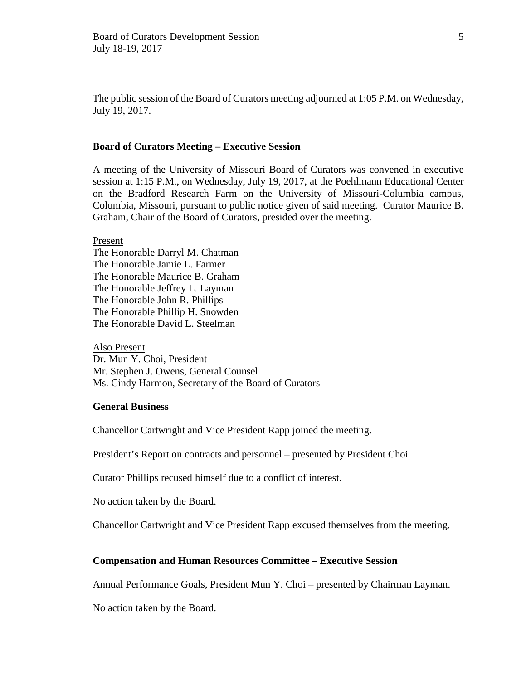The public session of the Board of Curators meeting adjourned at 1:05 P.M. on Wednesday, July 19, 2017.

## **Board of Curators Meeting – Executive Session**

A meeting of the University of Missouri Board of Curators was convened in executive session at 1:15 P.M., on Wednesday, July 19, 2017, at the Poehlmann Educational Center on the Bradford Research Farm on the University of Missouri-Columbia campus, Columbia, Missouri, pursuant to public notice given of said meeting. Curator Maurice B. Graham, Chair of the Board of Curators, presided over the meeting.

Present

The Honorable Darryl M. Chatman The Honorable Jamie L. Farmer The Honorable Maurice B. Graham The Honorable Jeffrey L. Layman The Honorable John R. Phillips The Honorable Phillip H. Snowden The Honorable David L. Steelman

Also Present Dr. Mun Y. Choi, President Mr. Stephen J. Owens, General Counsel Ms. Cindy Harmon, Secretary of the Board of Curators

## **General Business**

Chancellor Cartwright and Vice President Rapp joined the meeting.

President's Report on contracts and personnel – presented by President Choi

Curator Phillips recused himself due to a conflict of interest.

No action taken by the Board.

Chancellor Cartwright and Vice President Rapp excused themselves from the meeting.

## **Compensation and Human Resources Committee – Executive Session**

Annual Performance Goals, President Mun Y. Choi – presented by Chairman Layman.

No action taken by the Board.